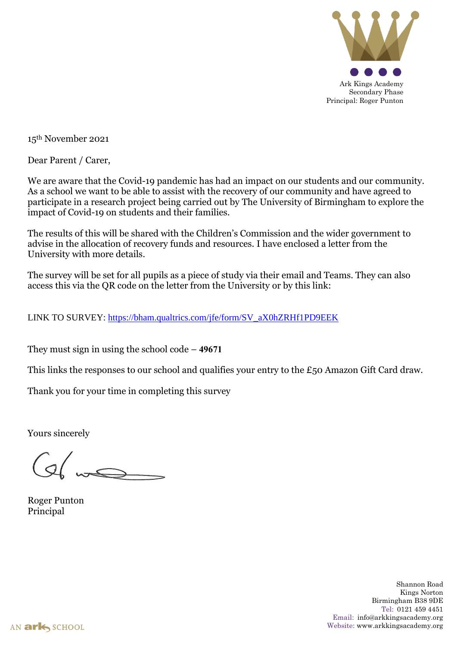

15th November 2021

Dear Parent / Carer,

We are aware that the Covid-19 pandemic has had an impact on our students and our community. As a school we want to be able to assist with the recovery of our community and have agreed to participate in a research project being carried out by The University of Birmingham to explore the impact of Covid-19 on students and their families.

The results of this will be shared with the Children's Commission and the wider government to advise in the allocation of recovery funds and resources. I have enclosed a letter from the University with more details.

The survey will be set for all pupils as a piece of study via their email and Teams. They can also access this via the QR code on the letter from the University or by this link:

LINK TO SURVEY: [https://bham.qualtrics.com/jfe/form/SV\\_aX0hZRHf1PD9EEK](https://bham.qualtrics.com/jfe/form/SV_aX0hZRHf1PD9EEK)

They must sign in using the school code – **49671**

This links the responses to our school and qualifies your entry to the £50 Amazon Gift Card draw.

Thank you for your time in completing this survey

Yours sincerely

 $\overbrace{\phantom{a}}^{b}$ 

Roger Punton Principal

Shannon Road Kings Norton Birmingham B38 9DE Tel: 0121 459 4451 Email: info@arkkingsacademy.org Website: www.arkkingsacademy.org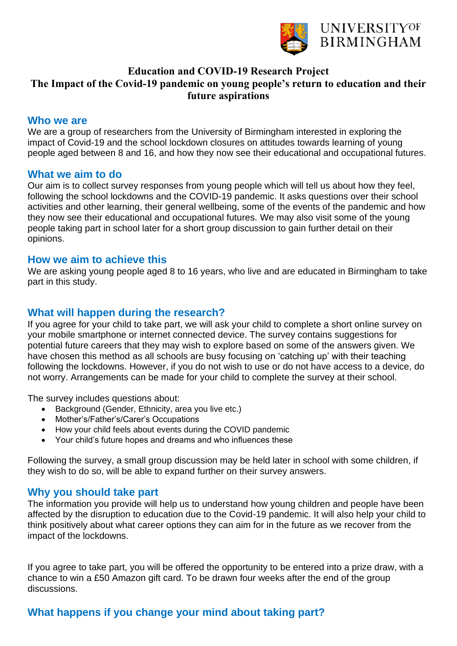

# **Education and COVID-19 Research Project The Impact of the Covid-19 pandemic on young people's return to education and their future aspirations**

#### **Who we are**

We are a group of researchers from the University of Birmingham interested in exploring the impact of Covid-19 and the school lockdown closures on attitudes towards learning of young people aged between 8 and 16, and how they now see their educational and occupational futures.

#### **What we aim to do**

Our aim is to collect survey responses from young people which will tell us about how they feel, following the school lockdowns and the COVID-19 pandemic. It asks questions over their school activities and other learning, their general wellbeing, some of the events of the pandemic and how they now see their educational and occupational futures. We may also visit some of the young people taking part in school later for a short group discussion to gain further detail on their opinions.

## **How we aim to achieve this**

We are asking young people aged 8 to 16 years, who live and are educated in Birmingham to take part in this study.

## **What will happen during the research?**

If you agree for your child to take part, we will ask your child to complete a short online survey on your mobile smartphone or internet connected device. The survey contains suggestions for potential future careers that they may wish to explore based on some of the answers given. We have chosen this method as all schools are busy focusing on 'catching up' with their teaching following the lockdowns. However, if you do not wish to use or do not have access to a device, do not worry. Arrangements can be made for your child to complete the survey at their school.

The survey includes questions about:

- Background (Gender, Ethnicity, area you live etc.)
- Mother's/Father's/Carer's Occupations
- How your child feels about events during the COVID pandemic
- Your child's future hopes and dreams and who influences these

Following the survey, a small group discussion may be held later in school with some children, if they wish to do so, will be able to expand further on their survey answers.

## **Why you should take part**

The information you provide will help us to understand how young children and people have been affected by the disruption to education due to the Covid-19 pandemic. It will also help your child to think positively about what career options they can aim for in the future as we recover from the impact of the lockdowns.

If you agree to take part, you will be offered the opportunity to be entered into a prize draw, with a chance to win a £50 Amazon gift card. To be drawn four weeks after the end of the group discussions.

# **What happens if you change your mind about taking part?**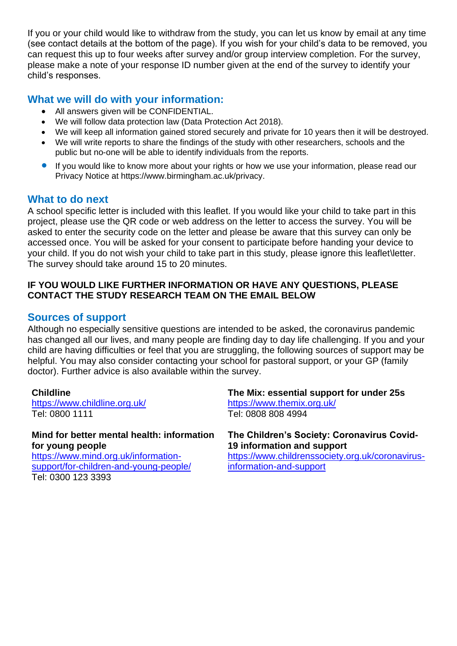If you or your child would like to withdraw from the study, you can let us know by email at any time (see contact details at the bottom of the page). If you wish for your child's data to be removed, you can request this up to four weeks after survey and/or group interview completion. For the survey, please make a note of your response ID number given at the end of the survey to identify your child's responses.

# **What we will do with your information:**

- All answers given will be CONFIDENTIAL.
- We will follow data protection law (Data Protection Act 2018).
- We will keep all information gained stored securely and private for 10 years then it will be destroyed.
- We will write reports to share the findings of the study with other researchers, schools and the public but no-one will be able to identify individuals from the reports.
- If you would like to know more about your rights or how we use your information, please read our Privacy Notice at https://www.birmingham.ac.uk/privacy.

## **What to do next**

A school specific letter is included with this leaflet. If you would like your child to take part in this project, please use the QR code or web address on the letter to access the survey. You will be asked to enter the security code on the letter and please be aware that this survey can only be accessed once. You will be asked for your consent to participate before handing your device to your child. If you do not wish your child to take part in this study, please ignore this leaflet\letter. The survey should take around 15 to 20 minutes.

#### **IF YOU WOULD LIKE FURTHER INFORMATION OR HAVE ANY QUESTIONS, PLEASE CONTACT THE STUDY RESEARCH TEAM ON THE EMAIL BELOW**

# **Sources of support**

Although no especially sensitive questions are intended to be asked, the coronavirus pandemic has changed all our lives, and many people are finding day to day life challenging. If you and your child are having difficulties or feel that you are struggling, the following sources of support may be helpful. You may also consider contacting your school for pastoral support, or your GP (family doctor). Further advice is also available within the survey.

#### **Childline**

<https://www.childline.org.uk/> Tel: 0800 1111

**Mind for better mental health: information for young people** [https://www.mind.org.uk/information-](https://www.mind.org.uk/information-support/for-children-and-young-people/)

[support/for-children-and-young-people/](https://www.mind.org.uk/information-support/for-children-and-young-people/) Tel: 0300 123 3393

**The Mix: essential support for under 25s** <https://www.themix.org.uk/> Tel: 0808 808 4994

**The Children's Society: Coronavirus Covid-19 information and support**

[https://www.childrenssociety.org.uk/coronavirus](https://www.childrenssociety.org.uk/coronavirus-information-and-support)[information-and-support](https://www.childrenssociety.org.uk/coronavirus-information-and-support)